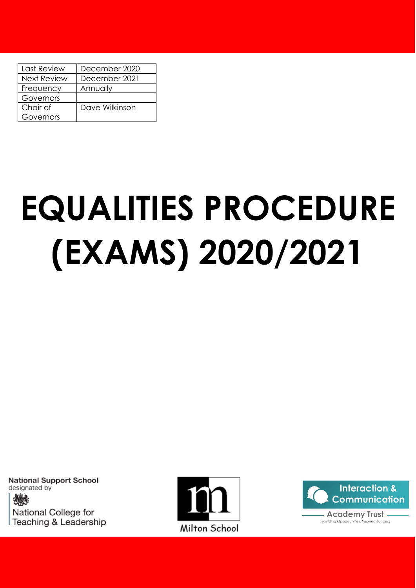| Last Review        | December 2020  |
|--------------------|----------------|
| <b>Next Review</b> | December 2021  |
| Frequency          | Annually       |
| Governors          |                |
| Chair of           | Dave Wilkinson |
| Governors          |                |

# **EQUALITIES PROCEDURE (EXAMS) 2020/2021**

**National Support School** designated by National College for Teaching & Leadership



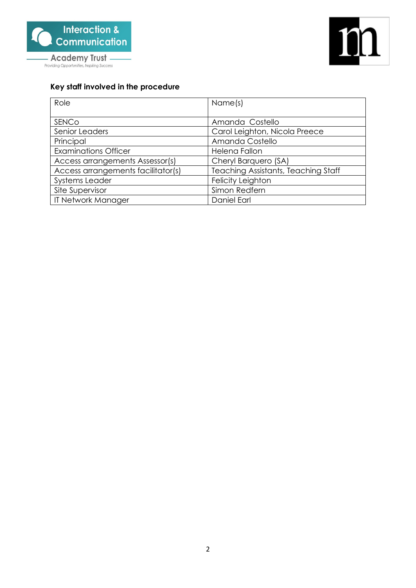



# **Key staff involved in the procedure**

| Role                               | Name(s)                                    |
|------------------------------------|--------------------------------------------|
|                                    |                                            |
| SENCO                              | Amanda Costello                            |
| Senior Leaders                     | Carol Leighton, Nicola Preece              |
| Principal                          | Amanda Costello                            |
| <b>Examinations Officer</b>        | Helena Fallon                              |
| Access arrangements Assessor(s)    | Cheryl Barquero (SA)                       |
| Access arrangements facilitator(s) | <b>Teaching Assistants, Teaching Staff</b> |
| <b>Systems Leader</b>              | Felicity Leighton                          |
| Site Supervisor                    | Simon Redfern                              |
| IT Network Manager                 | Daniel Earl                                |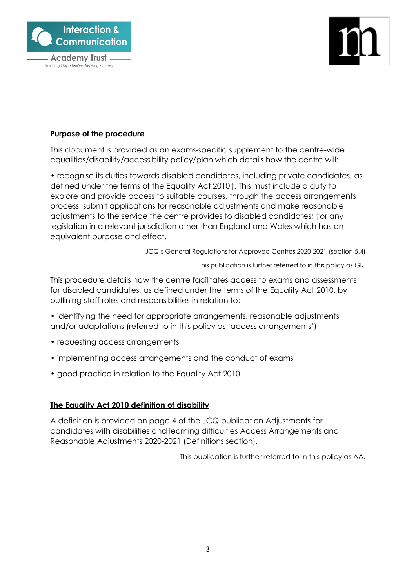

# Providing Opportunities, Inspiring Success

# **Purpose of the procedure**

This document is provided as an exams-specific supplement to the centre-wide equalities/disability/accessibility policy/plan which details how the centre will:

• recognise its duties towards disabled candidates, including private candidates, as defined under the terms of the Equality Act 2010†. This must include a duty to explore and provide access to suitable courses, through the access arrangements process, submit applications for reasonable adjustments and make reasonable adjustments to the service the centre provides to disabled candidates; †or any legislation in a relevant jurisdiction other than England and Wales which has an equivalent purpose and effect.

JCQ's General Regulations for Approved Centres 2020-2021 (section 5.4)

This publication is further referred to in this policy as GR.

This procedure details how the centre facilitates access to exams and assessments for disabled candidates, as defined under the terms of the Equality Act 2010, by outlining staff roles and responsibilities in relation to:

- identifying the need for appropriate arrangements, reasonable adjustments and/or adaptations (referred to in this policy as 'access arrangements')
- requesting access arrangements
- implementing access arrangements and the conduct of exams
- good practice in relation to the Equality Act 2010

# **The Equality Act 2010 definition of disability**

A definition is provided on page 4 of the JCQ publication Adjustments for candidates with disabilities and learning difficulties Access Arrangements and Reasonable Adjustments 2020-2021 (Definitions section).

This publication is further referred to in this policy as AA.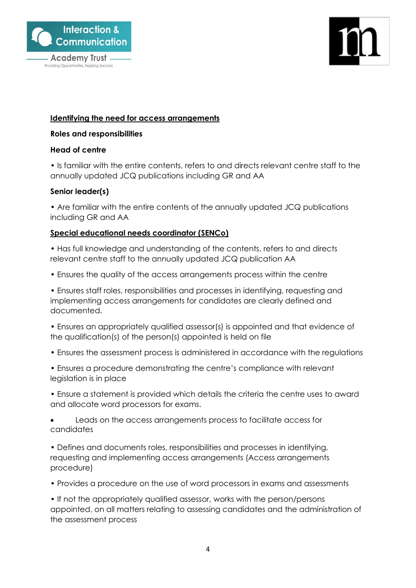



# **Identifying the need for access arrangements**

### **Roles and responsibilities**

### **Head of centre**

• Is familiar with the entire contents, refers to and directs relevant centre staff to the annually updated JCQ publications including GR and AA

# **Senior leader(s)**

• Are familiar with the entire contents of the annually updated JCQ publications including GR and AA

# **Special educational needs coordinator (SENCo)**

• Has full knowledge and understanding of the contents, refers to and directs relevant centre staff to the annually updated JCQ publication AA

• Ensures the quality of the access arrangements process within the centre

• Ensures staff roles, responsibilities and processes in identifying, requesting and implementing access arrangements for candidates are clearly defined and documented.

• Ensures an appropriately qualified assessor(s) is appointed and that evidence of the qualification(s) of the person(s) appointed is held on file

- Ensures the assessment process is administered in accordance with the regulations
- Ensures a procedure demonstrating the centre's compliance with relevant legislation is in place
- Ensure a statement is provided which details the criteria the centre uses to award and allocate word processors for exams.
- Leads on the access arrangements process to facilitate access for candidates

• Defines and documents roles, responsibilities and processes in identifying, requesting and implementing access arrangements (Access arrangements procedure)

• Provides a procedure on the use of word processors in exams and assessments

• If not the appropriately qualified assessor, works with the person/persons appointed, on all matters relating to assessing candidates and the administration of the assessment process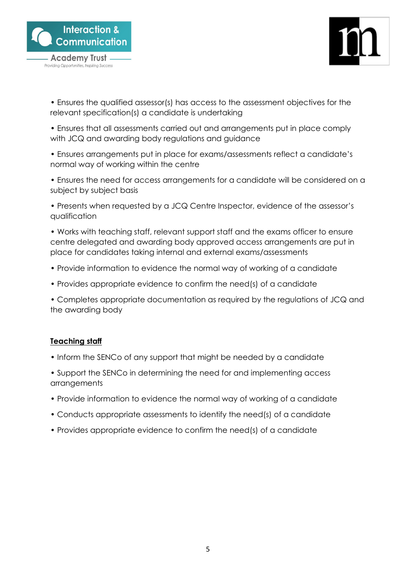

Providing Opportunities, Inspiring Success



- Ensures the qualified assessor(s) has access to the assessment objectives for the relevant specification(s) a candidate is undertaking
- Ensures that all assessments carried out and arrangements put in place comply with JCQ and awarding body regulations and guidance
- Ensures arrangements put in place for exams/assessments reflect a candidate's normal way of working within the centre
- Ensures the need for access arrangements for a candidate will be considered on a subject by subject basis
- Presents when requested by a JCQ Centre Inspector, evidence of the assessor's qualification

• Works with teaching staff, relevant support staff and the exams officer to ensure centre delegated and awarding body approved access arrangements are put in place for candidates taking internal and external exams/assessments

- Provide information to evidence the normal way of working of a candidate
- Provides appropriate evidence to confirm the need(s) of a candidate

• Completes appropriate documentation as required by the regulations of JCQ and the awarding body

# **Teaching staff**

- Inform the SENCo of any support that might be needed by a candidate
- Support the SENCo in determining the need for and implementing access arrangements
- Provide information to evidence the normal way of working of a candidate
- Conducts appropriate assessments to identify the need(s) of a candidate
- Provides appropriate evidence to confirm the need(s) of a candidate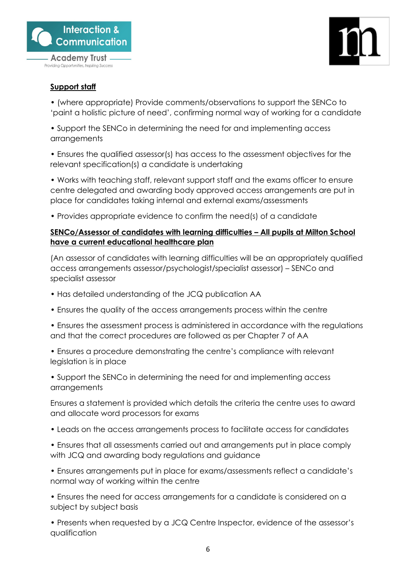



# **Support staff**

• (where appropriate) Provide comments/observations to support the SENCo to 'paint a holistic picture of need', confirming normal way of working for a candidate

• Support the SENCo in determining the need for and implementing access arrangements

• Ensures the qualified assessor(s) has access to the assessment objectives for the relevant specification(s) a candidate is undertaking

• Works with teaching staff, relevant support staff and the exams officer to ensure centre delegated and awarding body approved access arrangements are put in place for candidates taking internal and external exams/assessments

• Provides appropriate evidence to confirm the need(s) of a candidate

# **SENCo/Assessor of candidates with learning difficulties – All pupils at Milton School have a current educational healthcare plan**

(An assessor of candidates with learning difficulties will be an appropriately qualified access arrangements assessor/psychologist/specialist assessor) – SENCo and specialist assessor

- Has detailed understanding of the JCQ publication AA
- Ensures the quality of the access arrangements process within the centre
- Ensures the assessment process is administered in accordance with the regulations and that the correct procedures are followed as per Chapter 7 of AA

• Ensures a procedure demonstrating the centre's compliance with relevant legislation is in place

• Support the SENCo in determining the need for and implementing access arrangements

Ensures a statement is provided which details the criteria the centre uses to award and allocate word processors for exams

- Leads on the access arrangements process to facilitate access for candidates
- Ensures that all assessments carried out and arrangements put in place comply with JCQ and awarding body regulations and guidance
- Ensures arrangements put in place for exams/assessments reflect a candidate's normal way of working within the centre
- Ensures the need for access arrangements for a candidate is considered on a subject by subject basis

• Presents when requested by a JCQ Centre Inspector, evidence of the assessor's qualification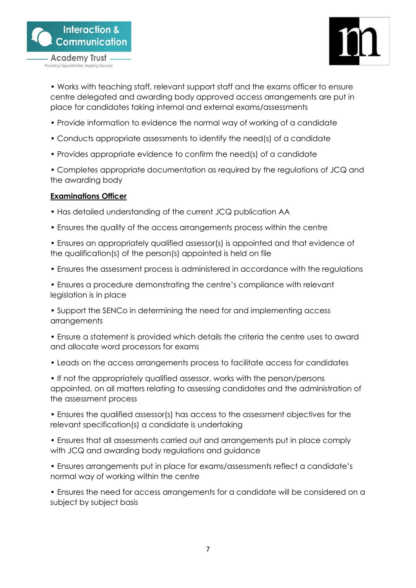



• Works with teaching staff, relevant support staff and the exams officer to ensure centre delegated and awarding body approved access arrangements are put in place for candidates taking internal and external exams/assessments

- Provide information to evidence the normal way of working of a candidate
- Conducts appropriate assessments to identify the need(s) of a candidate
- Provides appropriate evidence to confirm the need(s) of a candidate

• Completes appropriate documentation as required by the regulations of JCQ and the awarding body

# **Examinations Officer**

- Has detailed understanding of the current JCQ publication AA
- Ensures the quality of the access arrangements process within the centre
- Ensures an appropriately qualified assessor(s) is appointed and that evidence of the qualification(s) of the person(s) appointed is held on file
- Ensures the assessment process is administered in accordance with the regulations

• Ensures a procedure demonstrating the centre's compliance with relevant legislation is in place

• Support the SENCo in determining the need for and implementing access arrangements

• Ensure a statement is provided which details the criteria the centre uses to award and allocate word processors for exams

• Leads on the access arrangements process to facilitate access for candidates

• If not the appropriately qualified assessor, works with the person/persons appointed, on all matters relating to assessing candidates and the administration of the assessment process

• Ensures the qualified assessor(s) has access to the assessment objectives for the relevant specification(s) a candidate is undertaking

• Ensures that all assessments carried out and arrangements put in place comply with JCQ and awarding body regulations and guidance

• Ensures arrangements put in place for exams/assessments reflect a candidate's normal way of working within the centre

• Ensures the need for access arrangements for a candidate will be considered on a subject by subject basis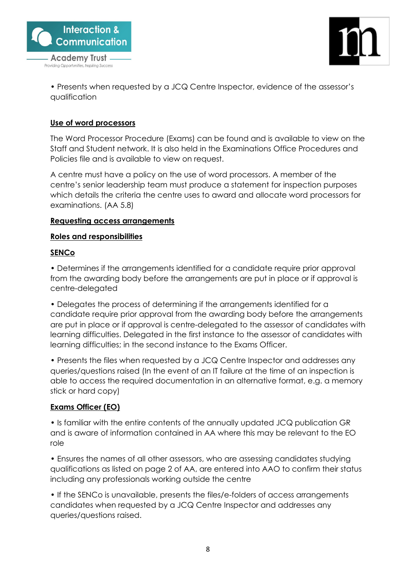

Providing Opportunities, Inspiring Success



• Presents when requested by a JCQ Centre Inspector, evidence of the assessor's qualification

# **Use of word processors**

The Word Processor Procedure (Exams) can be found and is available to view on the Staff and Student network. It is also held in the Examinations Office Procedures and Policies file and is available to view on request.

A centre must have a policy on the use of word processors. A member of the centre's senior leadership team must produce a statement for inspection purposes which details the criteria the centre uses to award and allocate word processors for examinations. (AA 5.8)

### **Requesting access arrangements**

### **Roles and responsibilities**

### **SENCo**

• Determines if the arrangements identified for a candidate require prior approval from the awarding body before the arrangements are put in place or if approval is centre-delegated

• Delegates the process of determining if the arrangements identified for a candidate require prior approval from the awarding body before the arrangements are put in place or if approval is centre-delegated to the assessor of candidates with learning difficulties. Delegated in the first instance to the assessor of candidates with learning difficulties; in the second instance to the Exams Officer.

• Presents the files when requested by a JCQ Centre Inspector and addresses any queries/questions raised (In the event of an IT failure at the time of an inspection is able to access the required documentation in an alternative format, e.g. a memory stick or hard copy)

# **Exams Officer (EO)**

• Is familiar with the entire contents of the annually updated JCQ publication GR and is aware of information contained in AA where this may be relevant to the EO role

• Ensures the names of all other assessors, who are assessing candidates studying qualifications as listed on page 2 of AA, are entered into AAO to confirm their status including any professionals working outside the centre

• If the SENCo is unavailable, presents the files/e-folders of access arrangements candidates when requested by a JCQ Centre Inspector and addresses any queries/questions raised.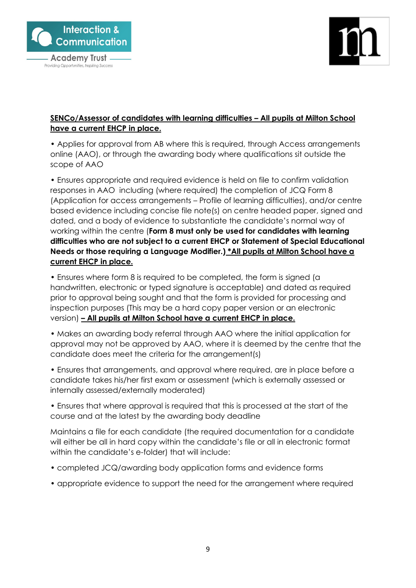



# **SENCo/Assessor of candidates with learning difficulties – All pupils at Milton School have a current EHCP in place.**

• Applies for approval from AB where this is required, through Access arrangements online (AAO), or through the awarding body where qualifications sit outside the scope of AAO

• Ensures appropriate and required evidence is held on file to confirm validation responses in AAO including (where required) the completion of JCQ Form 8 (Application for access arrangements – Profile of learning difficulties), and/or centre based evidence including concise file note(s) on centre headed paper, signed and dated, and a body of evidence to substantiate the candidate's normal way of working within the centre (**Form 8 must only be used for candidates with learning difficulties who are not subject to a current EHCP or Statement of Special Educational Needs or those requiring a Language Modifier.) \*All pupils at Milton School have a current EHCP in place.** 

• Ensures where form 8 is required to be completed, the form is signed (a handwritten, electronic or typed signature is acceptable) and dated as required prior to approval being sought and that the form is provided for processing and inspection purposes (This may be a hard copy paper version or an electronic version) **– All pupils at Milton School have a current EHCP in place.** 

• Makes an awarding body referral through AAO where the initial application for approval may not be approved by AAO, where it is deemed by the centre that the candidate does meet the criteria for the arrangement(s)

• Ensures that arrangements, and approval where required, are in place before a candidate takes his/her first exam or assessment (which is externally assessed or internally assessed/externally moderated)

• Ensures that where approval is required that this is processed at the start of the course and at the latest by the awarding body deadline

Maintains a file for each candidate (the required documentation for a candidate will either be all in hard copy within the candidate's file or all in electronic format within the candidate's e-folder) that will include:

- completed JCQ/awarding body application forms and evidence forms
- appropriate evidence to support the need for the arrangement where required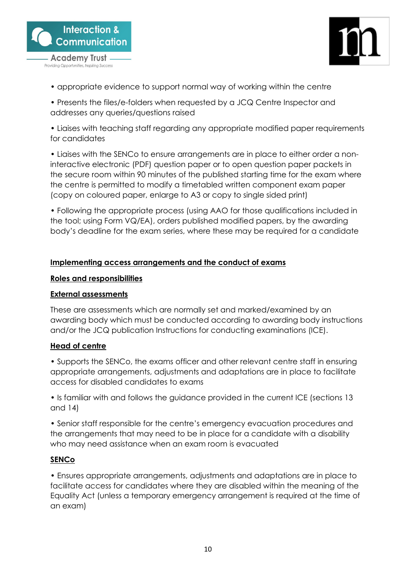



- appropriate evidence to support normal way of working within the centre
- Presents the files/e-folders when requested by a JCQ Centre Inspector and addresses any queries/questions raised

• Liaises with teaching staff regarding any appropriate modified paper requirements for candidates

• Liaises with the SENCo to ensure arrangements are in place to either order a noninteractive electronic (PDF) question paper or to open question paper packets in the secure room within 90 minutes of the published starting time for the exam where the centre is permitted to modify a timetabled written component exam paper (copy on coloured paper, enlarge to A3 or copy to single sided print)

• Following the appropriate process (using AAO for those qualifications included in the tool; using Form VQ/EA), orders published modified papers, by the awarding body's deadline for the exam series, where these may be required for a candidate

# **Implementing access arrangements and the conduct of exams**

### **Roles and responsibilities**

### **External assessments**

These are assessments which are normally set and marked/examined by an awarding body which must be conducted according to awarding body instructions and/or the JCQ publication Instructions for conducting examinations (ICE).

# **Head of centre**

• Supports the SENCo, the exams officer and other relevant centre staff in ensuring appropriate arrangements, adjustments and adaptations are in place to facilitate access for disabled candidates to exams

• Is familiar with and follows the guidance provided in the current ICE (sections 13 and 14)

• Senior staff responsible for the centre's emergency evacuation procedures and the arrangements that may need to be in place for a candidate with a disability who may need assistance when an exam room is evacuated

# **SENCo**

• Ensures appropriate arrangements, adjustments and adaptations are in place to facilitate access for candidates where they are disabled within the meaning of the Equality Act (unless a temporary emergency arrangement is required at the time of an exam)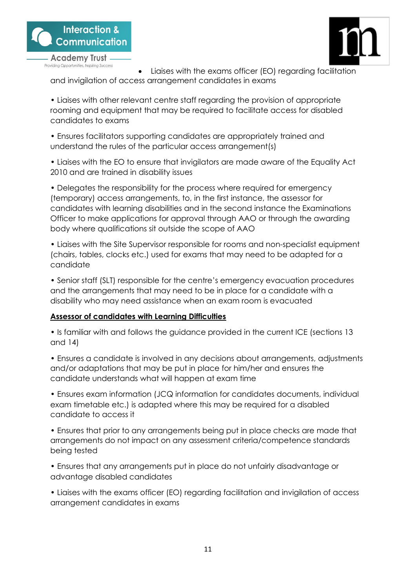



• Liaises with the exams officer (EO) regarding facilitation and invigilation of access arrangement candidates in exams

• Liaises with other relevant centre staff regarding the provision of appropriate rooming and equipment that may be required to facilitate access for disabled candidates to exams

• Ensures facilitators supporting candidates are appropriately trained and understand the rules of the particular access arrangement(s)

• Liaises with the EO to ensure that invigilators are made aware of the Equality Act 2010 and are trained in disability issues

• Delegates the responsibility for the process where required for emergency (temporary) access arrangements, to, in the first instance, the assessor for candidates with learning disabilities and in the second instance the Examinations Officer to make applications for approval through AAO or through the awarding body where qualifications sit outside the scope of AAO

• Liaises with the Site Supervisor responsible for rooms and non-specialist equipment (chairs, tables, clocks etc.) used for exams that may need to be adapted for a candidate

• Senior staff (SLT) responsible for the centre's emergency evacuation procedures and the arrangements that may need to be in place for a candidate with a disability who may need assistance when an exam room is evacuated

# **Assessor of candidates with Learning Difficulties**

• Is familiar with and follows the guidance provided in the current ICE (sections 13 and 14)

• Ensures a candidate is involved in any decisions about arrangements, adjustments and/or adaptations that may be put in place for him/her and ensures the candidate understands what will happen at exam time

• Ensures exam information (JCQ information for candidates documents, individual exam timetable etc.) is adapted where this may be required for a disabled candidate to access it

• Ensures that prior to any arrangements being put in place checks are made that arrangements do not impact on any assessment criteria/competence standards being tested

• Ensures that any arrangements put in place do not unfairly disadvantage or advantage disabled candidates

• Liaises with the exams officer (EO) regarding facilitation and invigilation of access arrangement candidates in exams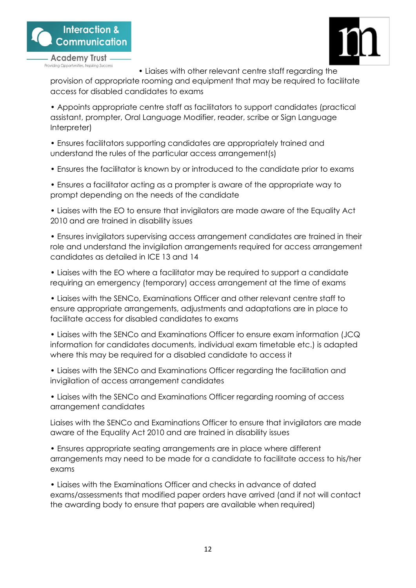





• Liaises with other relevant centre staff regarding the

provision of appropriate rooming and equipment that may be required to facilitate access for disabled candidates to exams

• Appoints appropriate centre staff as facilitators to support candidates (practical assistant, prompter, Oral Language Modifier, reader, scribe or Sign Language Interpreter)

• Ensures facilitators supporting candidates are appropriately trained and understand the rules of the particular access arrangement(s)

• Ensures the facilitator is known by or introduced to the candidate prior to exams

• Ensures a facilitator acting as a prompter is aware of the appropriate way to prompt depending on the needs of the candidate

• Liaises with the EO to ensure that invigilators are made aware of the Equality Act 2010 and are trained in disability issues

• Ensures invigilators supervising access arrangement candidates are trained in their role and understand the invigilation arrangements required for access arrangement candidates as detailed in ICE 13 and 14

• Liaises with the EO where a facilitator may be required to support a candidate requiring an emergency (temporary) access arrangement at the time of exams

• Liaises with the SENCo, Examinations Officer and other relevant centre staff to ensure appropriate arrangements, adjustments and adaptations are in place to facilitate access for disabled candidates to exams

• Liaises with the SENCo and Examinations Officer to ensure exam information (JCQ information for candidates documents, individual exam timetable etc.) is adapted where this may be required for a disabled candidate to access it

• Liaises with the SENCo and Examinations Officer regarding the facilitation and invigilation of access arrangement candidates

• Liaises with the SENCo and Examinations Officer regarding rooming of access arrangement candidates

Liaises with the SENCo and Examinations Officer to ensure that invigilators are made aware of the Equality Act 2010 and are trained in disability issues

• Ensures appropriate seating arrangements are in place where different arrangements may need to be made for a candidate to facilitate access to his/her exams

• Liaises with the Examinations Officer and checks in advance of dated exams/assessments that modified paper orders have arrived (and if not will contact the awarding body to ensure that papers are available when required)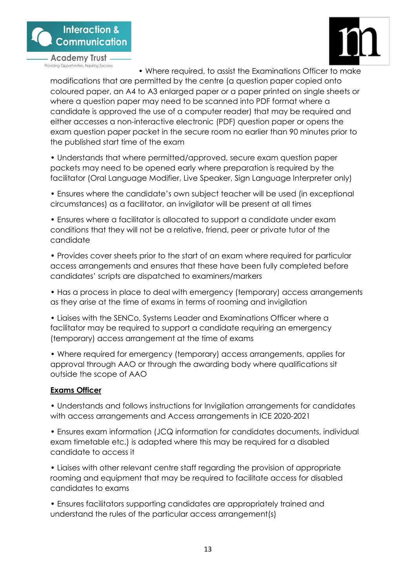



• Where required, to assist the Examinations Officer to make modifications that are permitted by the centre (a question paper copied onto coloured paper, an A4 to A3 enlarged paper or a paper printed on single sheets or where a question paper may need to be scanned into PDF format where a candidate is approved the use of a computer reader) that may be required and either accesses a non-interactive electronic (PDF) question paper or opens the exam question paper packet in the secure room no earlier than 90 minutes prior to the published start time of the exam

• Understands that where permitted/approved, secure exam question paper packets may need to be opened early where preparation is required by the facilitator (Oral Language Modifier, Live Speaker, Sign Language Interpreter only)

• Ensures where the candidate's own subject teacher will be used (in exceptional circumstances) as a facilitator, an invigilator will be present at all times

• Ensures where a facilitator is allocated to support a candidate under exam conditions that they will not be a relative, friend, peer or private tutor of the candidate

• Provides cover sheets prior to the start of an exam where required for particular access arrangements and ensures that these have been fully completed before candidates' scripts are dispatched to examiners/markers

• Has a process in place to deal with emergency (temporary) access arrangements as they arise at the time of exams in terms of rooming and invigilation

• Liaises with the SENCo, Systems Leader and Examinations Officer where a facilitator may be required to support a candidate requiring an emergency (temporary) access arrangement at the time of exams

• Where required for emergency (temporary) access arrangements, applies for approval through AAO or through the awarding body where qualifications sit outside the scope of AAO

# **Exams Officer**

• Understands and follows instructions for Invigilation arrangements for candidates with access arrangements and Access arrangements in ICE 2020-2021

• Ensures exam information (JCQ information for candidates documents, individual exam timetable etc.) is adapted where this may be required for a disabled candidate to access it

• Liaises with other relevant centre staff regarding the provision of appropriate rooming and equipment that may be required to facilitate access for disabled candidates to exams

• Ensures facilitators supporting candidates are appropriately trained and understand the rules of the particular access arrangement(s)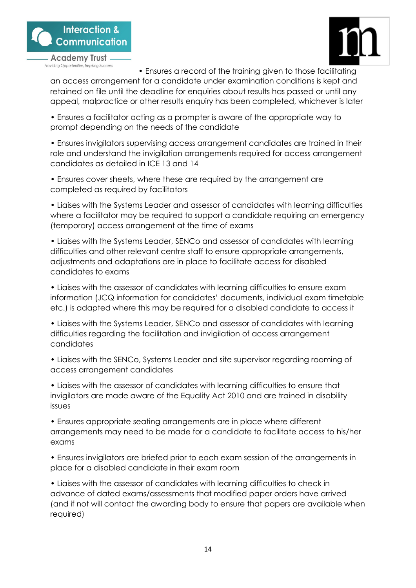

• Ensures a record of the training given to those facilitating an access arrangement for a candidate under examination conditions is kept and retained on file until the deadline for enquiries about results has passed or until any appeal, malpractice or other results enquiry has been completed, whichever is later

• Ensures a facilitator acting as a prompter is aware of the appropriate way to prompt depending on the needs of the candidate

• Ensures invigilators supervising access arrangement candidates are trained in their role and understand the invigilation arrangements required for access arrangement candidates as detailed in ICE 13 and 14

• Ensures cover sheets, where these are required by the arrangement are completed as required by facilitators

• Liaises with the Systems Leader and assessor of candidates with learning difficulties where a facilitator may be required to support a candidate requiring an emergency (temporary) access arrangement at the time of exams

• Liaises with the Systems Leader, SENCo and assessor of candidates with learning difficulties and other relevant centre staff to ensure appropriate arrangements, adjustments and adaptations are in place to facilitate access for disabled candidates to exams

• Liaises with the assessor of candidates with learning difficulties to ensure exam information (JCQ information for candidates' documents, individual exam timetable etc.) is adapted where this may be required for a disabled candidate to access it

• Liaises with the Systems Leader, SENCo and assessor of candidates with learning difficulties regarding the facilitation and invigilation of access arrangement candidates

• Liaises with the SENCo, Systems Leader and site supervisor regarding rooming of access arrangement candidates

• Liaises with the assessor of candidates with learning difficulties to ensure that invigilators are made aware of the Equality Act 2010 and are trained in disability issues

• Ensures appropriate seating arrangements are in place where different arrangements may need to be made for a candidate to facilitate access to his/her exams

• Ensures invigilators are briefed prior to each exam session of the arrangements in place for a disabled candidate in their exam room

• Liaises with the assessor of candidates with learning difficulties to check in advance of dated exams/assessments that modified paper orders have arrived (and if not will contact the awarding body to ensure that papers are available when required)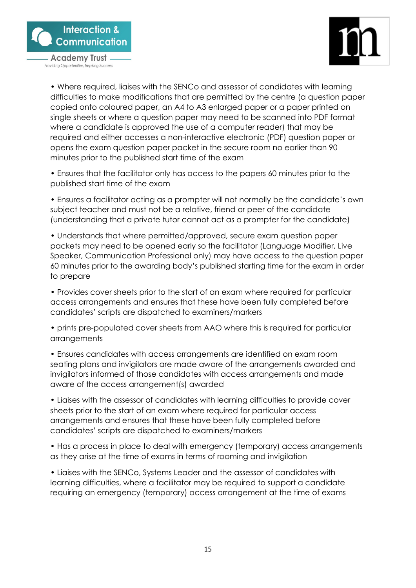



• Where required, liaises with the SENCo and assessor of candidates with learning difficulties to make modifications that are permitted by the centre (a question paper copied onto coloured paper, an A4 to A3 enlarged paper or a paper printed on single sheets or where a question paper may need to be scanned into PDF format where a candidate is approved the use of a computer reader) that may be required and either accesses a non-interactive electronic (PDF) question paper or opens the exam question paper packet in the secure room no earlier than 90 minutes prior to the published start time of the exam

• Ensures that the facilitator only has access to the papers 60 minutes prior to the published start time of the exam

• Ensures a facilitator acting as a prompter will not normally be the candidate's own subject teacher and must not be a relative, friend or peer of the candidate (understanding that a private tutor cannot act as a prompter for the candidate)

• Understands that where permitted/approved, secure exam question paper packets may need to be opened early so the facilitator (Language Modifier, Live Speaker, Communication Professional only) may have access to the question paper 60 minutes prior to the awarding body's published starting time for the exam in order to prepare

• Provides cover sheets prior to the start of an exam where required for particular access arrangements and ensures that these have been fully completed before candidates' scripts are dispatched to examiners/markers

• prints pre-populated cover sheets from AAO where this is required for particular arrangements

• Ensures candidates with access arrangements are identified on exam room seating plans and invigilators are made aware of the arrangements awarded and invigilators informed of those candidates with access arrangements and made aware of the access arrangement(s) awarded

• Liaises with the assessor of candidates with learning difficulties to provide cover sheets prior to the start of an exam where required for particular access arrangements and ensures that these have been fully completed before candidates' scripts are dispatched to examiners/markers

• Has a process in place to deal with emergency (temporary) access arrangements as they arise at the time of exams in terms of rooming and invigilation

• Liaises with the SENCo, Systems Leader and the assessor of candidates with learning difficulties, where a facilitator may be required to support a candidate requiring an emergency (temporary) access arrangement at the time of exams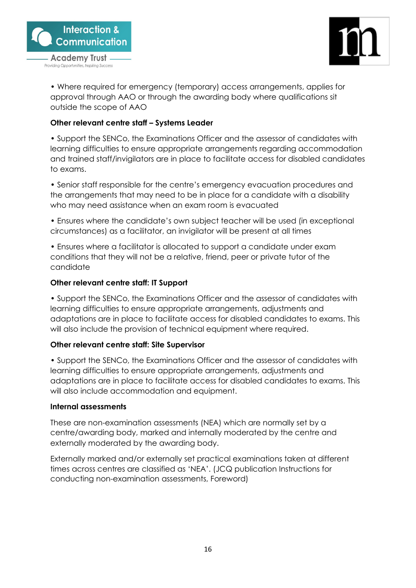



• Where required for emergency (temporary) access arrangements, applies for approval through AAO or through the awarding body where qualifications sit outside the scope of AAO

# **Other relevant centre staff – Systems Leader**

• Support the SENCo, the Examinations Officer and the assessor of candidates with learning difficulties to ensure appropriate arrangements regarding accommodation and trained staff/invigilators are in place to facilitate access for disabled candidates to exams.

• Senior staff responsible for the centre's emergency evacuation procedures and the arrangements that may need to be in place for a candidate with a disability who may need assistance when an exam room is evacuated

• Ensures where the candidate's own subject teacher will be used (in exceptional circumstances) as a facilitator, an invigilator will be present at all times

• Ensures where a facilitator is allocated to support a candidate under exam conditions that they will not be a relative, friend, peer or private tutor of the candidate

# **Other relevant centre staff: IT Support**

• Support the SENCo, the Examinations Officer and the assessor of candidates with learning difficulties to ensure appropriate arrangements, adjustments and adaptations are in place to facilitate access for disabled candidates to exams. This will also include the provision of technical equipment where required.

# **Other relevant centre staff: Site Supervisor**

• Support the SENCo, the Examinations Officer and the assessor of candidates with learning difficulties to ensure appropriate arrangements, adjustments and adaptations are in place to facilitate access for disabled candidates to exams. This will also include accommodation and equipment.

# **Internal assessments**

These are non-examination assessments (NEA) which are normally set by a centre/awarding body, marked and internally moderated by the centre and externally moderated by the awarding body.

Externally marked and/or externally set practical examinations taken at different times across centres are classified as 'NEA'. (JCQ publication Instructions for conducting non-examination assessments, Foreword)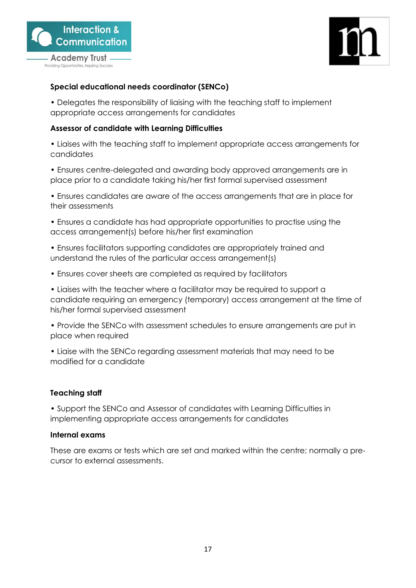



# **Special educational needs coordinator (SENCo)**

• Delegates the responsibility of liaising with the teaching staff to implement appropriate access arrangements for candidates

### **Assessor of candidate with Learning Difficulties**

• Liaises with the teaching staff to implement appropriate access arrangements for candidates

• Ensures centre-delegated and awarding body approved arrangements are in place prior to a candidate taking his/her first formal supervised assessment

• Ensures candidates are aware of the access arrangements that are in place for their assessments

• Ensures a candidate has had appropriate opportunities to practise using the access arrangement(s) before his/her first examination

• Ensures facilitators supporting candidates are appropriately trained and understand the rules of the particular access arrangement(s)

• Ensures cover sheets are completed as required by facilitators

• Liaises with the teacher where a facilitator may be required to support a candidate requiring an emergency (temporary) access arrangement at the time of his/her formal supervised assessment

• Provide the SENCo with assessment schedules to ensure arrangements are put in place when required

• Liaise with the SENCo regarding assessment materials that may need to be modified for a candidate

# **Teaching staff**

• Support the SENCo and Assessor of candidates with Learning Difficulties in implementing appropriate access arrangements for candidates

### **Internal exams**

These are exams or tests which are set and marked within the centre; normally a precursor to external assessments.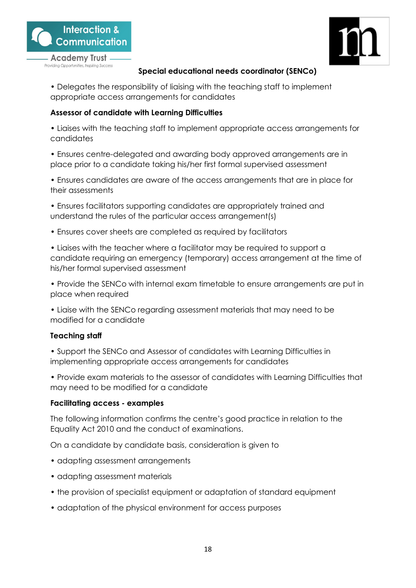



# **Special educational needs coordinator (SENCo)**

• Delegates the responsibility of liaising with the teaching staff to implement appropriate access arrangements for candidates

# **Assessor of candidate with Learning Difficulties**

• Liaises with the teaching staff to implement appropriate access arrangements for candidates

• Ensures centre-delegated and awarding body approved arrangements are in place prior to a candidate taking his/her first formal supervised assessment

• Ensures candidates are aware of the access arrangements that are in place for their assessments

• Ensures facilitators supporting candidates are appropriately trained and understand the rules of the particular access arrangement(s)

• Ensures cover sheets are completed as required by facilitators

• Liaises with the teacher where a facilitator may be required to support a candidate requiring an emergency (temporary) access arrangement at the time of his/her formal supervised assessment

• Provide the SENCo with internal exam timetable to ensure arrangements are put in place when required

• Liaise with the SENCo regarding assessment materials that may need to be modified for a candidate

# **Teaching staff**

• Support the SENCo and Assessor of candidates with Learning Difficulties in implementing appropriate access arrangements for candidates

• Provide exam materials to the assessor of candidates with Learning Difficulties that may need to be modified for a candidate

# **Facilitating access - examples**

The following information confirms the centre's good practice in relation to the Equality Act 2010 and the conduct of examinations.

On a candidate by candidate basis, consideration is given to

- adapting assessment arrangements
- adapting assessment materials
- the provision of specialist equipment or adaptation of standard equipment
- adaptation of the physical environment for access purposes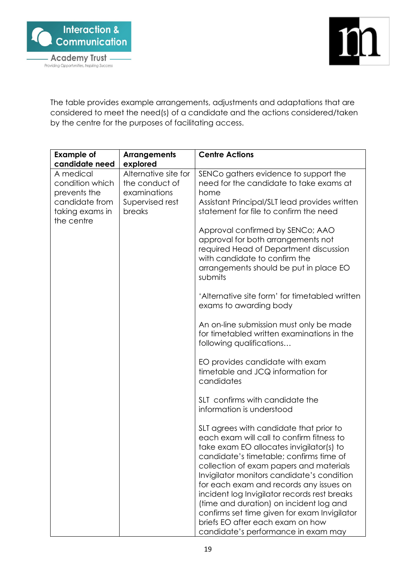

The table provides example arrangements, adjustments and adaptations that are considered to meet the need(s) of a candidate and the actions considered/taken by the centre for the purposes of facilitating access.

| <b>Example of</b>                                                                                                 | <b>Arrangements</b>                                                                             | <b>Centre Actions</b>                                                                                                                                                                                                                                                                                                                                                                                                                                                                                                                                                                                                                                                                                                                                                                                                                                                                                                                                                                                                                                                                                                                                                                                                                                  |
|-------------------------------------------------------------------------------------------------------------------|-------------------------------------------------------------------------------------------------|--------------------------------------------------------------------------------------------------------------------------------------------------------------------------------------------------------------------------------------------------------------------------------------------------------------------------------------------------------------------------------------------------------------------------------------------------------------------------------------------------------------------------------------------------------------------------------------------------------------------------------------------------------------------------------------------------------------------------------------------------------------------------------------------------------------------------------------------------------------------------------------------------------------------------------------------------------------------------------------------------------------------------------------------------------------------------------------------------------------------------------------------------------------------------------------------------------------------------------------------------------|
| candidate need<br>A medical<br>condition which<br>prevents the<br>candidate from<br>taking exams in<br>the centre | explored<br>Alternative site for<br>the conduct of<br>examinations<br>Supervised rest<br>breaks | SENCo gathers evidence to support the<br>need for the candidate to take exams at<br>home<br>Assistant Principal/SLT lead provides written<br>statement for file to confirm the need<br>Approval confirmed by SENCo; AAO<br>approval for both arrangements not<br>required Head of Department discussion<br>with candidate to confirm the<br>arrangements should be put in place EO<br>submits<br>'Alternative site form' for timetabled written<br>exams to awarding body<br>An on-line submission must only be made<br>for timetabled written examinations in the<br>following qualifications<br>EO provides candidate with exam<br>timetable and JCQ information for<br>candidates<br>SLT confirms with candidate the<br>information is understood<br>SLT agrees with candidate that prior to<br>each exam will call to confirm fitness to<br>take exam EO allocates invigilator(s) to<br>candidate's timetable; confirms time of<br>collection of exam papers and materials<br>Invigilator monitors candidate's condition<br>for each exam and records any issues on<br>incident log Invigilator records rest breaks<br>(time and duration) on incident log and<br>confirms set time given for exam Invigilator<br>briefs EO after each exam on how |
|                                                                                                                   |                                                                                                 | candidate's performance in exam may                                                                                                                                                                                                                                                                                                                                                                                                                                                                                                                                                                                                                                                                                                                                                                                                                                                                                                                                                                                                                                                                                                                                                                                                                    |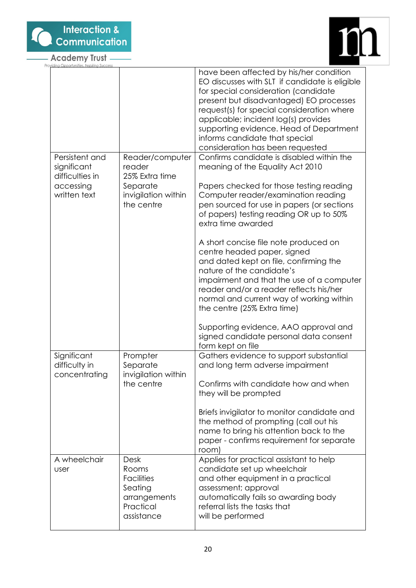

 $\overline{\phantom{0}}$ 





| rovidina Opportunities, Inspirina Succes      |                                                                                                 |                                                                                                                                                                                                                                                                                                                                                                                     |
|-----------------------------------------------|-------------------------------------------------------------------------------------------------|-------------------------------------------------------------------------------------------------------------------------------------------------------------------------------------------------------------------------------------------------------------------------------------------------------------------------------------------------------------------------------------|
|                                               |                                                                                                 | have been affected by his/her condition<br>EO discusses with SLT if candidate is eligible<br>for special consideration (candidate<br>present but disadvantaged) EO processes<br>request(s) for special consideration where<br>applicable; incident log(s) provides<br>supporting evidence. Head of Department<br>informs candidate that special<br>consideration has been requested |
| Persistent and<br>significant                 | Reader/computer<br>reader                                                                       | Confirms candidate is disabled within the<br>meaning of the Equality Act 2010                                                                                                                                                                                                                                                                                                       |
| difficulties in<br>accessing<br>written text  | 25% Extra time<br>Separate<br>invigilation within<br>the centre                                 | Papers checked for those testing reading<br>Computer reader/examination reading<br>pen sourced for use in papers (or sections<br>of papers) testing reading OR up to 50%<br>extra time awarded                                                                                                                                                                                      |
|                                               |                                                                                                 | A short concise file note produced on<br>centre headed paper, signed<br>and dated kept on file, confirming the<br>nature of the candidate's<br>impairment and that the use of a computer<br>reader and/or a reader reflects his/her<br>normal and current way of working within<br>the centre (25% Extra time)                                                                      |
|                                               |                                                                                                 | Supporting evidence, AAO approval and<br>signed candidate personal data consent<br>form kept on file                                                                                                                                                                                                                                                                                |
| Significant<br>difficulty in<br>concentrating | Prompter<br>Separate<br>invigilation within                                                     | Gathers evidence to support substantial<br>and long term adverse impairment                                                                                                                                                                                                                                                                                                         |
|                                               | the centre                                                                                      | Confirms with candidate how and when<br>they will be prompted                                                                                                                                                                                                                                                                                                                       |
|                                               |                                                                                                 | Briefs invigilator to monitor candidate and<br>the method of prompting (call out his<br>name to bring his attention back to the<br>paper - confirms requirement for separate<br>room)                                                                                                                                                                                               |
| A wheelchair<br>user                          | <b>Desk</b><br>Rooms<br><b>Facilities</b><br>Seating<br>arrangements<br>Practical<br>assistance | Applies for practical assistant to help<br>candidate set up wheelchair<br>and other equipment in a practical<br>assessment; approval<br>automatically fails so awarding body<br>referral lists the tasks that<br>will be performed                                                                                                                                                  |